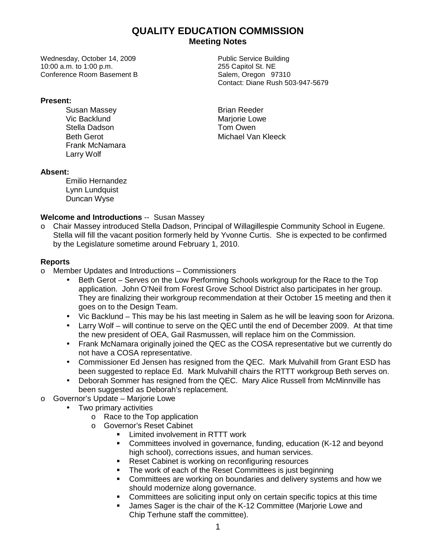# **QUALITY EDUCATION COMMISSION Meeting Notes**

Wednesday, October 14, 2009 **Public Service Building** 10:00 a.m. to 1:00 p.m. 255 Capitol St. NE Conference Room Basement B Salem, Oregon 97310

#### **Present:**

Susan Massey **Brian Reeder** Vic Backlund<br>
Stella Dadson<br>
Stella Dadson Stella Dadson Frank McNamara Larry Wolf

Contact: Diane Rush 503-947-5679

Beth Gerot **Michael Van Kleeck** 

### **Absent:**

Emilio Hernandez Lynn Lundquist Duncan Wyse

## **Welcome and Introductions** -- Susan Massey

o Chair Massey introduced Stella Dadson, Principal of Willagillespie Community School in Eugene. Stella will fill the vacant position formerly held by Yvonne Curtis. She is expected to be confirmed by the Legislature sometime around February 1, 2010.

## **Reports**

- o Member Updates and Introductions Commissioners
	- Beth Gerot Serves on the Low Performing Schools workgroup for the Race to the Top application. John O'Neil from Forest Grove School District also participates in her group. They are finalizing their workgroup recommendation at their October 15 meeting and then it goes on to the Design Team.
	- Vic Backlund This may be his last meeting in Salem as he will be leaving soon for Arizona.
	- Larry Wolf will continue to serve on the QEC until the end of December 2009. At that time the new president of OEA, Gail Rasmussen, will replace him on the Commission.
	- Frank McNamara originally joined the QEC as the COSA representative but we currently do not have a COSA representative.
	- Commissioner Ed Jensen has resigned from the QEC. Mark Mulvahill from Grant ESD has been suggested to replace Ed. Mark Mulvahill chairs the RTTT workgroup Beth serves on.
	- Deborah Sommer has resigned from the QEC. Mary Alice Russell from McMinnville has been suggested as Deborah's replacement.
- o Governor's Update Marjorie Lowe
	- Two primary activities
		- o Race to the Top application
		- o Governor's Reset Cabinet
			- **Limited involvement in RTTT work**
			- Committees involved in governance, funding, education (K-12 and beyond high school), corrections issues, and human services.
			- Reset Cabinet is working on reconfiguring resources
			- The work of each of the Reset Committees is just beginning
			- Committees are working on boundaries and delivery systems and how we should modernize along governance.
			- **Committees are soliciting input only on certain specific topics at this time**
			- James Sager is the chair of the K-12 Committee (Marjorie Lowe and Chip Terhune staff the committee).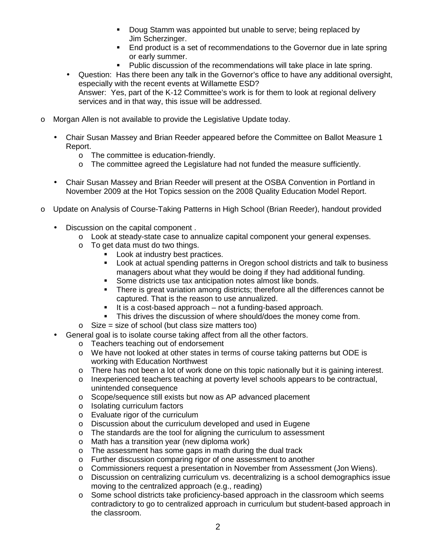- Doug Stamm was appointed but unable to serve; being replaced by Jim Scherzinger.
- **End product is a set of recommendations to the Governor due in late spring** or early summer.
- Public discussion of the recommendations will take place in late spring.
- Question: Has there been any talk in the Governor's office to have any additional oversight, especially with the recent events at Willamette ESD? Answer: Yes, part of the K-12 Committee's work is for them to look at regional delivery services and in that way, this issue will be addressed.
- o Morgan Allen is not available to provide the Legislative Update today.
	- Chair Susan Massey and Brian Reeder appeared before the Committee on Ballot Measure 1 Report.
		- o The committee is education-friendly.
		- o The committee agreed the Legislature had not funded the measure sufficiently.
	- Chair Susan Massey and Brian Reeder will present at the OSBA Convention in Portland in November 2009 at the Hot Topics session on the 2008 Quality Education Model Report.
- o Update on Analysis of Course-Taking Patterns in High School (Brian Reeder), handout provided
	- Discussion on the capital component .
		- o Look at steady-state case to annualize capital component your general expenses.
		- o To get data must do two things.
			- **Look at industry best practices.**
			- **Look at actual spending patterns in Oregon school districts and talk to business** managers about what they would be doing if they had additional funding.
			- **Some districts use tax anticipation notes almost like bonds.**
			- **There is great variation among districts; therefore all the differences cannot be** captured. That is the reason to use annualized.
			- $\blacksquare$  It is a cost-based approach not a funding-based approach.
			- This drives the discussion of where should/does the money come from.
		- $\circ$  Size = size of school (but class size matters too)
	- General goal is to isolate course taking affect from all the other factors.
		- o Teachers teaching out of endorsement
		- o We have not looked at other states in terms of course taking patterns but ODE is working with Education Northwest
		- o There has not been a lot of work done on this topic nationally but it is gaining interest.
		- o Inexperienced teachers teaching at poverty level schools appears to be contractual, unintended consequence
		- o Scope/sequence still exists but now as AP advanced placement
		- o Isolating curriculum factors
		- o Evaluate rigor of the curriculum
		- o Discussion about the curriculum developed and used in Eugene
		- $\circ$  The standards are the tool for aligning the curriculum to assessment
		- o Math has a transition year (new diploma work)
		- o The assessment has some gaps in math during the dual track
		- o Further discussion comparing rigor of one assessment to another
		- o Commissioners request a presentation in November from Assessment (Jon Wiens).
		- o Discussion on centralizing curriculum vs. decentralizing is a school demographics issue moving to the centralized approach (e.g., reading)
		- o Some school districts take proficiency-based approach in the classroom which seems contradictory to go to centralized approach in curriculum but student-based approach in the classroom.